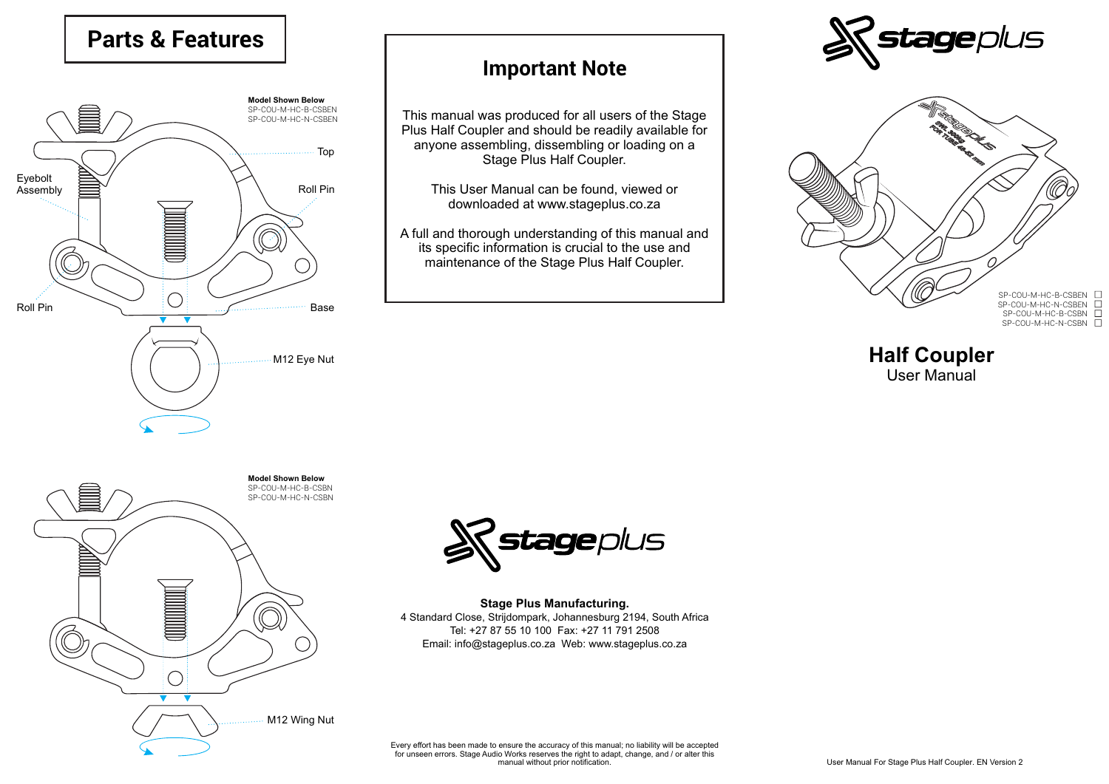## **Parts & Features**



## **Important Note**

This manual was produced for all users of the Stage Plus Half Coupler and should be readily available for anyone assembling, dissembling or loading on a Stage Plus Half Coupler.

This User Manual can be found, viewed or downloaded at www.stageplus.co.za

A full and thorough understanding of this manual and its specific information is crucial to the use and maintenance of the Stage Plus Half Coupler.





**Half Coupler** User Manual





**Stage Plus Manufacturing.** 4 Standard Close, Strijdompark, Johannesburg 2194, South Africa Tel: +27 87 55 10 100 Fax: +27 11 791 2508 Email: info@stageplus.co.za Web: www.stageplus.co.za

Every effort has been made to ensure the accuracy of this manual; no liability will be accepted for unseen errors. Stage Audio Works reserves the right to adapt, change, and / or alter this manual without prior notification.